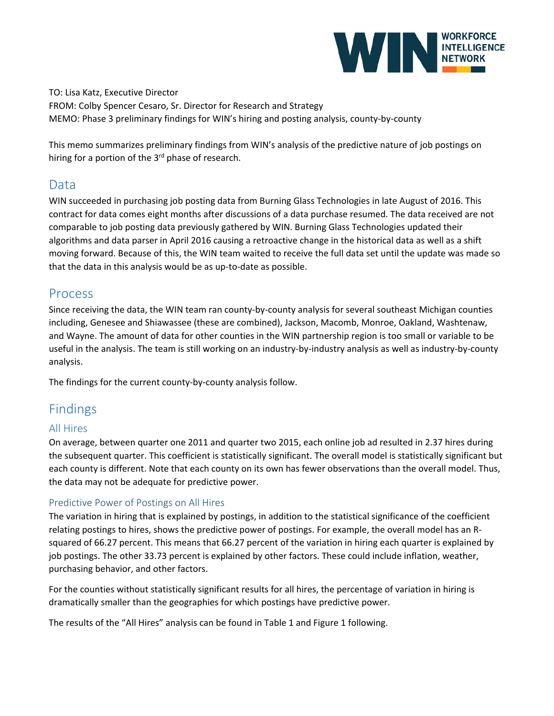

TO: Lisa Katz, Executive Director FROM: Colby Spencer Cesaro, Sr. Director for Research and Strategy MEMO: Phase 3 preliminary findings for WIN's hiring and posting analysis, county-by-county

This memo summarizes preliminary findings from WIN's analysis of the predictive nature of job postings on hiring for a portion of the 3<sup>rd</sup> phase of research.

## Data

WIN succeeded in purchasing job posting data from Burning Glass Technologies in late August of 2016. This contract for data comes eight months after discussions of a data purchase resumed. The data received are not comparable to job posting data previously gathered by WIN. Burning Glass Technologies updated their algorithms and data parser in April 2016 causing a retroactive change in the historical data as well as a shift moving forward. Because of this, the WIN team waited to receive the full data set until the update was made so that the data in this analysis would be as up-to-date as possible.

## Process

Since receiving the data, the WIN team ran county-by-county analysis for several southeast Michigan counties including, Genesee and Shiawassee (these are combined), Jackson, Macomb, Monroe, Oakland, Washtenaw, and Wayne. The amount of data for other counties in the WIN partnership region is too small or variable to be useful in the analysis. The team is still working on an industry-by-industry analysis as well as industry-by-county analysis.

The findings for the current county-by-county analysis follow.

# Findings

### All Hires

On average, between quarter one 2011 and quarter two 2015, each online job ad resulted in 2.37 hires during the subsequent quarter. This coefficient is statistically significant. The overall model is statistically significant but each county is different. Note that each county on its own has fewer observations than the overall model. Thus, the data may not be adequate for predictive power.

### Predictive Power of Postings on All Hires

The variation in hiring that is explained by postings, in addition to the statistical significance of the coefficient relating postings to hires, shows the predictive power of postings. For example, the overall model has an Rsquared of 66.27 percent. This means that 66.27 percent of the variation in hiring each quarter is explained by job postings. The other 33.73 percent is explained by other factors. These could include inflation, weather, purchasing behavior, and other factors.

For the counties without statistically significant results for all hires, the percentage of variation in hiring is dramatically smaller than the geographies for which postings have predictive power.

The results of the "All Hires" analysis can be found in Table 1 and Figure 1 following.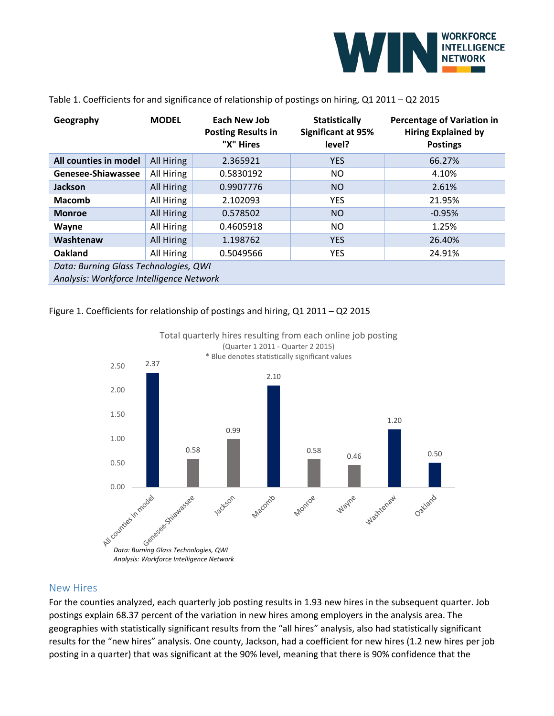

| Geography                                                                         | <b>MODEL</b> | Each New Job<br><b>Posting Results in</b><br>"X" Hires | <b>Statistically</b><br><b>Significant at 95%</b><br>level? | <b>Percentage of Variation in</b><br><b>Hiring Explained by</b><br><b>Postings</b> |  |  |  |
|-----------------------------------------------------------------------------------|--------------|--------------------------------------------------------|-------------------------------------------------------------|------------------------------------------------------------------------------------|--|--|--|
| All counties in model                                                             | All Hiring   | 2.365921                                               | <b>YES</b>                                                  | 66.27%                                                                             |  |  |  |
| Genesee-Shiawassee                                                                | All Hiring   | 0.5830192                                              | NO.                                                         | 4.10%                                                                              |  |  |  |
| Jackson                                                                           | All Hiring   | 0.9907776                                              | N <sub>O</sub>                                              | 2.61%                                                                              |  |  |  |
| <b>Macomb</b>                                                                     | All Hiring   | 2.102093                                               | <b>YES</b>                                                  | 21.95%                                                                             |  |  |  |
| <b>Monroe</b>                                                                     | All Hiring   | 0.578502                                               | <b>NO</b>                                                   | $-0.95%$                                                                           |  |  |  |
| Wayne                                                                             | All Hiring   | 0.4605918                                              | NO.                                                         | 1.25%                                                                              |  |  |  |
| Washtenaw                                                                         | All Hiring   | 1.198762                                               | <b>YES</b>                                                  | 26.40%                                                                             |  |  |  |
| Oakland                                                                           | All Hiring   | 0.5049566                                              | <b>YES</b>                                                  | 24.91%                                                                             |  |  |  |
| Data: Burning Glass Technologies, QWI<br>Analysis: Workforce Intelligence Network |              |                                                        |                                                             |                                                                                    |  |  |  |

#### Table 1. Coefficients for and significance of relationship of postings on hiring, Q1 2011 – Q2 2015

#### Figure 1. Coefficients for relationship of postings and hiring, Q1 2011 – Q2 2015





#### New Hires

For the counties analyzed, each quarterly job posting results in 1.93 new hires in the subsequent quarter. Job postings explain 68.37 percent of the variation in new hires among employers in the analysis area. The geographies with statistically significant results from the "all hires" analysis, also had statistically significant results for the "new hires" analysis. One county, Jackson, had a coefficient for new hires (1.2 new hires per job posting in a quarter) that was significant at the 90% level, meaning that there is 90% confidence that the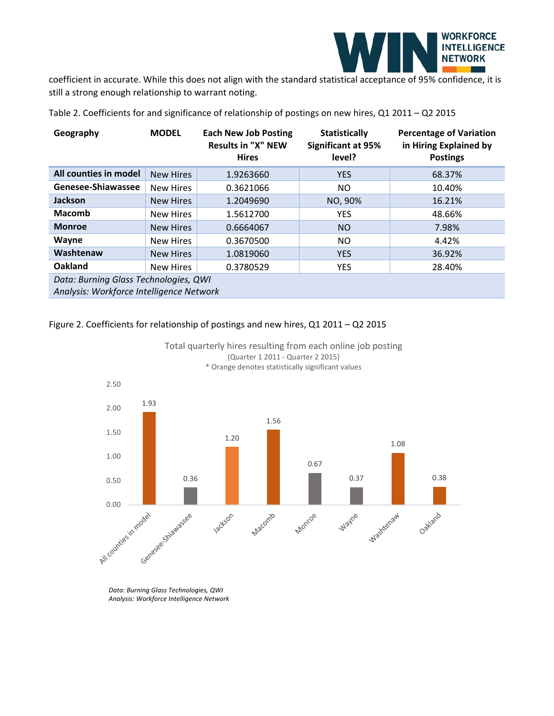

coefficient in accurate. While this does not align with the standard statistical acceptance of 95% confidence, it is still a strong enough relationship to warrant noting.

| Geography                                                                         | <b>MODEL</b>     | <b>Each New Job Posting</b><br><b>Results in "X" NEW</b><br><b>Hires</b> | <b>Statistically</b><br><b>Significant at 95%</b><br>level? | <b>Percentage of Variation</b><br>in Hiring Explained by<br><b>Postings</b> |  |  |  |
|-----------------------------------------------------------------------------------|------------------|--------------------------------------------------------------------------|-------------------------------------------------------------|-----------------------------------------------------------------------------|--|--|--|
| All counties in model                                                             | <b>New Hires</b> | 1.9263660                                                                | <b>YES</b>                                                  | 68.37%                                                                      |  |  |  |
| Genesee-Shiawassee                                                                | New Hires        | 0.3621066                                                                | NO.                                                         | 10.40%                                                                      |  |  |  |
| <b>Jackson</b>                                                                    | <b>New Hires</b> | 1.2049690                                                                | NO, 90%                                                     | 16.21%                                                                      |  |  |  |
| <b>Macomb</b>                                                                     | <b>New Hires</b> | 1.5612700                                                                | <b>YES</b>                                                  | 48.66%                                                                      |  |  |  |
| <b>Monroe</b>                                                                     | <b>New Hires</b> | 0.6664067                                                                | NO.                                                         | 7.98%                                                                       |  |  |  |
| Wayne                                                                             | New Hires        | 0.3670500                                                                | NO.                                                         | 4.42%                                                                       |  |  |  |
| Washtenaw                                                                         | <b>New Hires</b> | 1.0819060                                                                | <b>YES</b>                                                  | 36.92%                                                                      |  |  |  |
| Oakland                                                                           | <b>New Hires</b> | 0.3780529                                                                | <b>YES</b>                                                  | 28.40%                                                                      |  |  |  |
| Data: Burning Glass Technologies, QWI<br>Analysis: Workforce Intelligence Network |                  |                                                                          |                                                             |                                                                             |  |  |  |

Table 2. Coefficients for and significance of relationship of postings on new hires, Q1 2011 – Q2 2015

#### Figure 2. Coefficients for relationship of postings and new hires, Q1 2011 – Q2 2015



Total quarterly hires resulting from each online job posting (Quarter 1 2011 - Quarter 2 2015) \* Orange denotes statistically significant values

*Data: Burning Glass Technologies, QWI Analysis: Workforce Intelligence Network*